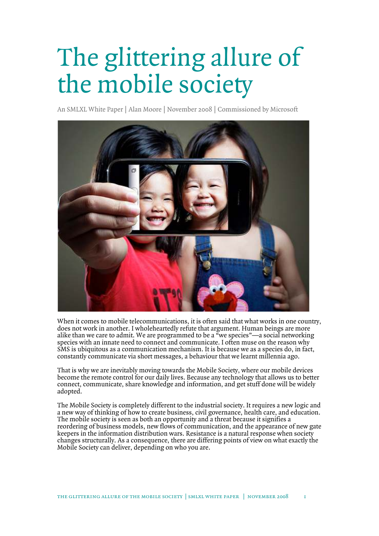# The glittering allure of the mobile society

An SMLXL White Paper | Alan Moore | November 2008 | Commissioned by Microsoft



When it comes to mobile telecommunications, it is often said that what works in one country, does not work in another. I wholeheartedly refute that argument. Human beings are more alike than we care to admit. We are programmed to be a "we species"—a social networking species with an innate need to connect and communicate. I often muse on the reason why SMS is ubiquitous as a communication mechanism. It is because we as a species do, in fact, constantly communicate via short messages, a behaviour that we learnt millennia ago.

That is why we are inevitably moving towards the Mobile Society, where our mobile devices become the remote control for our daily lives. Because any technology that allows us to better connect, communicate, share knowledge and information, and get stuff done will be widely adopted.

The Mobile Society is completely different to the industrial society. It requires a new logic and a new way of thinking of how to create business, civil governance, health care, and education. The mobile society is seen as both an opportunity and a threat because it signifies a reordering of business models, new flows of communication, and the appearance of new gate keepers in the information distribution wars. Resistance is a natural response when society changes structurally. As a consequence, there are differing points of view on what exactly the Mobile Society can deliver, depending on who you are.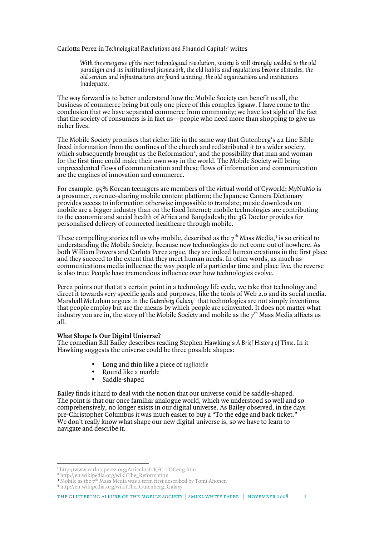Carlotta Perez in *Technological Revolutions and Financial Capital: <sup>1</sup>* writes

*With the emergence of the next technological revolution, society is still strongly wedded to the old paradigm and its institutional framework, the old habits and regulations become obstacles, the old services and infrastructures are found wanting, the old organisations and institutions inadequate.* 

The way forward is to better understand how the Mobile Society can benefit us all, the business of commerce being but only one piece of this complex jigsaw. I have come to the conclusion that we have separated commerce from community; we have lost sight of the fact that the society of consumers is in fact us—people who need more than shopping to give us richer lives.

The Mobile Society promises that richer life in the same way that Gutenberg's 42 Line Bible freed information from the confines of the church and redistributed it to a wider society, which subsequently brought us the Reformation<sup>2</sup>, and the possibility that man and woman for the first time could make their own way in the world. The Mobile Society will bring unprecedented flows of communication and these flows of information and communication are the engines of innovation and commerce.

For example, 95% Korean teenagers are members of the virtual world of Cyworld; MyNuMo is a prosumer, revenue-sharing mobile content platform; the Japanese Camera Dictionary provides access to information otherwise impossible to translate; music downloads on mobile are a bigger industry than on the fixed Internet; mobile technologies are contributing to the economic and social health of Africa and Bangladesh; the 3G Doctor provides for personalised delivery of connected healthcare through mobile.

These compelling stories tell us why mobile, described as the  $7^{\rm th}$  Mass Media, $^3$  is so critical to understanding the Mobile Society, because new technologies do not come out of nowhere. As both William Powers and Carlota Perez argue, they are indeed human creations in the first place and they succeed to the extent that they meet human needs. In other words, as much as communications media influence the way people of a particular time and place live, the reverse is also true: People have tremendous influence over how technologies evolve.

Perez points out that at a certain point in a technology life cycle, we take that technology and direct it towards very specific goals and purposes, like the tools of Web 2.0 and its social media. Marshall McLuhan argues in the *Gutenberg Galaxy*<sup>4</sup> that technologies are not simply inventions that people employ but are the means by which people are reinvented. It does not matter what industry you are in, the story of the Mobile Society and mobile as the  $7<sup>th</sup>$  Mass Media affects us all.

# **What Shape Is Our Digital Universe?**

The comedian Bill Bailey describes reading Stephen Hawking's *A Brief History of Time*. In it Hawking suggests the universe could be three possible shapes:

- Long and thin like a piece of *tagliatelle*
- Round like a marble
- Saddle-shaped

Bailey finds it hard to deal with the notion that our universe could be saddle-shaped. The point is that our once familiar analogue world, which we understood so well and so comprehensively, no longer exists in our digital universe. As Bailey observed, in the days pre-Christopher Columbus it was much easier to buy a "To the edge and back ticket." We don't really know what shape our new digital universe is, so we have to learn to navigate and describe it.

<sup>1</sup> http://www.carlotaperez.org/Articulos/TRFC-TOCeng.htm

<sup>2</sup> http://en.wikipedia.org/wiki/The\_Reformation

<sup>&</sup>lt;sup>3</sup> Mobile as the  $7<sup>th</sup>$  Mass Media was a term first described by Tomi Ahonen <sup>4</sup> http://en.wikipedia.org/wiki/The\_Gutenberg\_Galaxy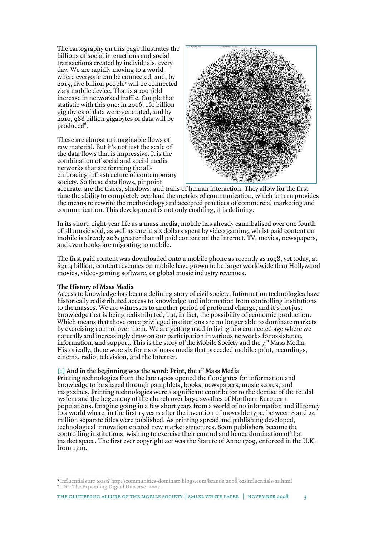The cartography on this page illustrates the billions of social interactions and social transactions created by individuals, every day. We are rapidly moving to a world where everyone can be connected, and, by 2015, five billion people<sup>5</sup> will be connected via a mobile device. That is a 100-fold increase in networked traffic. Couple that statistic with this one: in 2006, 161 billion gigabytes of data were generated, and by 2010, 988 billion gigabytes of data will be produced<sup>6</sup>.

These are almost unimaginable flows of raw material. But it's not just the scale of the data flows that is impressive. It is the combination of social and social media networks that are forming the allembracing infrastructure of contemporary society. So these data flows, pinpoint



accurate, are the traces, shadows, and trails of human interaction. They allow for the first time the ability to completely overhaul the metrics of communication, which in turn provides the means to rewrite the methodology and accepted practices of commercial marketing and communication. This development is not only enabling, it is defining.

In its short, eight-year life as a mass media, mobile has already cannibalised over one fourth of all music sold, as well as one in six dollars spent by video gaming, whilst paid content on mobile is already 20% greater than all paid content on the Internet. TV, movies, newspapers, and even books are migrating to mobile.

The first paid content was downloaded onto a mobile phone as recently as 1998, yet today, at \$31.3 billion, content revenues on mobile have grown to be larger worldwide than Hollywood movies, video-gaming software, or global music industry revenues.

#### **The History of Mass Media**

 $\overline{a}$ 

Access to knowledge has been a defining story of civil society. Information technologies have historically redistributed access to knowledge and information from controlling institutions to the masses. We are witnesses to another period of profound change, and it's not just knowledge that is being redistributed, but, in fact, the possibility of economic production. Which means that those once privileged institutions are no longer able to dominate markets by exercising control over them. We are getting used to living in a connected age where we naturally and increasingly draw on our participation in various networks for assistance, information, and support. This is the story of the Mobile Society and the  $7<sup>th</sup>$  Mass Media. Historically, there were six forms of mass media that preceded mobile: print, recordings, cinema, radio, television, and the Internet.

#### [1] **And in the beginning was the word: Print, the 1st Mass Media**

Printing technologies from the late 1400s opened the floodgates for information and knowledge to be shared through pamphlets, books, newspapers, music scores, and magazines. Printing technologies were a significant contributor to the demise of the feudal system and the hegemony of the church over large swathes of Northern European populations. Imagine going in a few short years from a world of no information and illiteracy to a world where, in the first 15 years after the invention of moveable type, between 8 and 24 million separate titles were published. As printing spread and publishing developed, technological innovation created new market structures. Soon publishers become the controlling institutions, wishing to exercise their control and hence domination of that market space. The first ever copyright act was the Statute of Anne 1709, enforced in the U.K. from 1710.

<sup>5</sup> Influentials are toast? http://communities-dominate.blogs.com/brands/2008/02/influentials-ar.html 6 IDC: The Expanding Digital Universe–2007.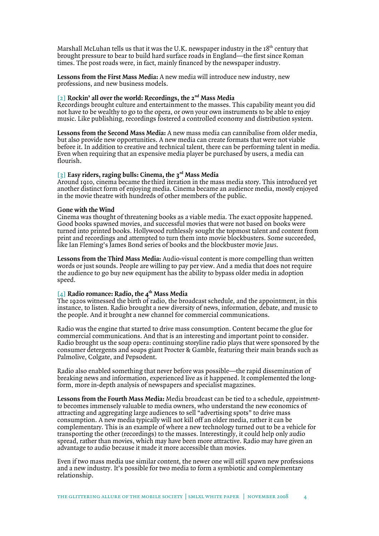Marshall McLuhan tells us that it was the U.K. newspaper industry in the  $18<sup>th</sup>$  century that brought pressure to bear to build hard surface roads in England—the first since Roman times. The post roads were, in fact, mainly financed by the newspaper industry.

**Lessons from the First Mass Media:** A new media will introduce new industry, new professions, and new business models.

# [2] **Rockin' all over the world: Recordings, the 2nd Mass Media**

Recordings brought culture and entertainment to the masses. This capability meant you did not have to be wealthy to go to the opera, or own your own instruments to be able to enjoy music. Like publishing, recordings fostered a controlled economy and distribution system.

**Lessons from the Second Mass Media:** A new mass media can cannibalise from older media, but also provide new opportunities. A new media can create formats that were not viable before it. In addition to creative and technical talent, there can be performing talent in media. Even when requiring that an expensive media player be purchased by users, a media can flourish.

# [3] **Easy riders, raging bulls: Cinema, the 3rd Mass Media**

Around 1910, cinema became the third iteration in the mass media story. This introduced yet another distinct form of enjoying media. Cinema became an audience media, mostly enjoyed in the movie theatre with hundreds of other members of the public.

### **Gone with the Wind**

Cinema was thought of threatening books as a viable media. The exact opposite happened. Good books spawned movies, and successful movies that were not based on books were turned into printed books. Hollywood ruthlessly sought the topmost talent and content from print and recordings and attempted to turn them into movie blockbusters. Some succeeded, like Ian Fleming's James Bond series of books and the blockbuster movie *Jaws*.

**Lessons from the Third Mass Media:** Audio-visual content is more compelling than written words or just sounds. People are willing to pay per view. And a media that does not require the audience to go buy new equipment has the ability to bypass older media in adoption speed.

# [4] **Radio romance: Radio, the 4th Mass Media**

The 1920s witnessed the birth of radio, the broadcast schedule, and the appointment, in this instance, to listen. Radio brought a new diversity of news, information, debate, and music to the people. And it brought a new channel for commercial communications.

Radio was the engine that started to drive mass consumption. Content became the glue for commercial communications. And that is an interesting and important point to consider. Radio brought us the soap opera: continuing storyline radio plays that were sponsored by the consumer detergents and soaps giant Procter & Gamble, featuring their main brands such as Palmolive, Colgate, and Pepsodent.

Radio also enabled something that never before was possible—the rapid dissemination of breaking news and information, experienced live as it happened. It complemented the longform, more in-depth analysis of newspapers and specialist magazines.

**Lessons from the Fourth Mass Media:** Media broadcast can be tied to a schedule, *appointmentto* becomes immensely valuable to media owners, who understand the new economics of attracting and aggregating large audiences to sell "advertising spots" to drive mass consumption. A new media typically will not kill off an older media, rather it can be complementary. This is an example of where a new technology turned out to be a vehicle for transporting the other (recordings) to the masses. Interestingly, it could help only audio spread, rather than movies, which may have been more attractive. Radio may have given an advantage to audio because it made it more accessible than movies.

Even if two mass media use similar content, the newer one will still spawn new professions and a new industry. It's possible for two media to form a symbiotic and complementary relationship.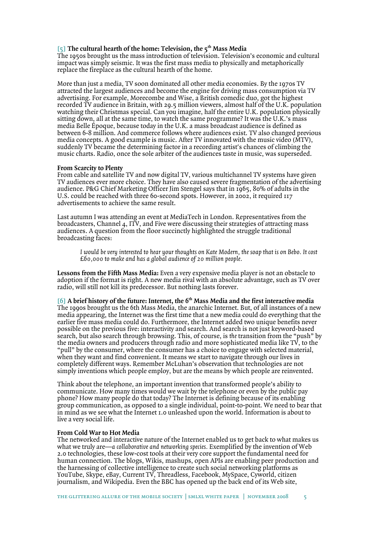# [5] **The cultural hearth of the home: Television, the 5th Mass Media**

The 1950s brought us the mass introduction of television. Television's economic and cultural impact was simply seismic. It was the first mass media to physically and metaphorically replace the fireplace as the cultural hearth of the home.

More than just a media, TV soon dominated all other media economies. By the 1970s TV attracted the largest audiences and become the engine for driving mass consumption via TV advertising. For example, Morecombe and Wise, a British comedic duo, got the highest recorded TV audience in Britain, with 29.5 million viewers, almost half of the U.K. population watching their Christmas special. Can you imagine, half the entire U.K. population physically sitting down, all at the same time, to watch the same programme? It was the U.K.'s mass media Belle Époque, because today in the U.K. a mass broadcast audience is defined as between 6-8 million. And commerce follows where audiences exist. TV also changed previous media concepts. A good example is music. After TV innovated with the music video (MTV), suddenly TV became the determining factor in a recording artist's chances of climbing the music charts. Radio, once the sole arbiter of the audiences taste in music, was superseded.

### **From Scarcity to Plenty**

From cable and satellite TV and now digital TV, various multichannel TV systems have given TV audiences ever more choice. They have also caused severe fragmentation of the advertising audience. P&G Chief Marketing Officer Jim Stengel says that in 1965, 80% of adults in the U.S. could be reached with three 60-second spots. However, in 2002, it required 117 advertisements to achieve the same result.

Last autumn I was attending an event at MediaTech in London. Representatives from the broadcasters, Channel 4, ITV, and Five were discussing their strategies of attracting mass audiences. A question from the floor succinctly highlighted the struggle traditional broadcasting faces:

*I would be very interested to hear your thoughts on Kate Modern, the soap that is on Bebo. It cost £60,000 to make and has a global audience of 20 million people.* 

**Lessons from the Fifth Mass Media:** Even a very expensive media player is not an obstacle to adoption if the format is right. A new media rival with an absolute advantage, such as TV over radio, will still not kill its predecessor. But nothing lasts forever.

[6] **A brief history of the future: Internet, the 6th Mass Media and the first interactive media**  The 1990s brought us the 6th Mass Media, the anarchic Internet. But, of all instances of a new media appearing, the Internet was the first time that a new media could do everything that the earlier five mass media could do. Furthermore, the Internet added two unique benefits never possible on the previous five: interactivity and search. And search is not just keyword-based search, but also search through browsing. This, of course, is *the* transition from the "push" by the media owners and producers through radio and more sophisticated media like TV, to the "pull" by the consumer, where the consumer has a choice to engage with selected material, when they want and find convenient. It means we start to navigate through our lives in completely different ways. Remember McLuhan's observation that technologies are not simply inventions which people employ, but are the means by which people are reinvented.

Think about the telephone, an important invention that transformed people's ability to communicate. How many times would we wait by the telephone or even by the public pay phone? How many people do that today? The Internet is defining because of its enabling group communication, as opposed to a single individual, point-to-point. We need to bear that in mind as we see what the Internet 1.0 unleashed upon the world. Information is about to live a very social life.

# **From Cold War to Hot Media**

The networked and interactive nature of the Internet enabled us to get back to what makes us what we truly are—a collaborative and networking species. Exemplified by the invention of Web 2.0 technologies, these low-cost tools at their very core support the fundamental need for human connection. The blogs, Wikis, mashups, open APIs are enabling peer production and the harnessing of collective intelligence to create such social networking platforms as YouTube, Skype, eBay, Current TV, Threadless, Facebook, MySpace, Cyworld, citizen journalism, and Wikipedia. Even the BBC has opened up the back end of its Web site,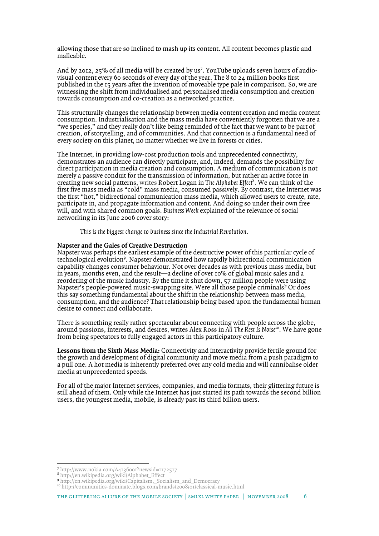allowing those that are so inclined to mash up its content. All content becomes plastic and malleable.

And by 2012, 25% of all media will be created by us<sup>7</sup>. YouTube uploads seven hours of audiovisual content every 60 seconds of every day of the year. The 8 to 24 million books first published in the 15 years after the invention of moveable type pale in comparison. So, we are witnessing the shift from individualised and personalised media consumption and creation towards consumption and co-creation as a networked practice.

This structurally changes the relationship between media content creation and media content consumption. Industrialisation and the mass media have conveniently forgotten that we are a "we species," and they really don't like being reminded of the fact that we want to be part of creation, of storytelling, and of communities. And that connection is a fundamental need of every society on this planet, no matter whether we live in forests or cities.

The Internet, in providing low-cost production tools and unprecedented connectivity, demonstrates an audience can directly participate, and, indeed, demands the possibility for direct participation in media creation and consumption. A medium of communication is not merely a passive conduit for the transmission of information, but rather an active force in creating new social patterns, writes Robert Logan in The Alphabet Effect<sup>8</sup>. We can think of the first five mass media as "cold" mass media, consumed passively. By contrast, the Internet was the first "hot," bidirectional communication mass media, which allowed users to create, rate, participate in, and propagate information and content. And doing so under their own free will, and with shared common goals. *Business Week* explained of the relevance of social networking in its June 2006 cover story:

*This is the biggest change to business since the Industrial Revolution.* 

#### **Napster and the Gales of Creative Destruction**

Napster was perhaps the earliest example of the destructive power of this particular cycle of technological evolution<sup>9</sup>. Napster demonstrated how rapidly bidirectional communication capability changes consumer behaviour. Not over decades as with previous mass media, but in years, months even, and the result—a decline of over 10% of global music sales and a reordering of the music industry. By the time it shut down, 57 million people were using Napster's people-powered music-swapping site. Were all those people criminals? Or does this say something fundamental about the shift in the relationship between mass media, consumption, and the audience? That relationship being based upon the fundamental human desire to connect and collaborate.

There is something really rather spectacular about connecting with people across the globe, around passions, interests, and desires, writes Alex Ross in *All The Rest Is Noise<sup>10</sup>*. We have gone from being spectators to fully engaged actors in this participatory culture.

**Lessons from the Sixth Mass Media:** Connectivity and interactivity provide fertile ground for the growth and development of digital community and move media from a push paradigm to a pull one. A hot media is inherently preferred over any cold media and will cannibalise older media at unprecedented speeds.

For all of the major Internet services, companies, and media formats, their glittering future is still ahead of them. Only while the Internet has just started its path towards the second billion users, the youngest media, mobile, is already past its third billion users.

 $\overline{a}$ 

the glittering allure of the mobile society | smlxl white paper | november 2008 6

<sup>7</sup> http://www.nokia.com/A4136001?newsid=1172517

<sup>8</sup> http://en.wikipedia.org/wiki/Alphabet\_Effect

<sup>9</sup> http://en.wikipedia.org/wiki/Capitalism,\_Socialism\_and\_Democracy

<sup>10</sup> http://communities-dominate.blogs.com/brands/2008/01/classical-music.html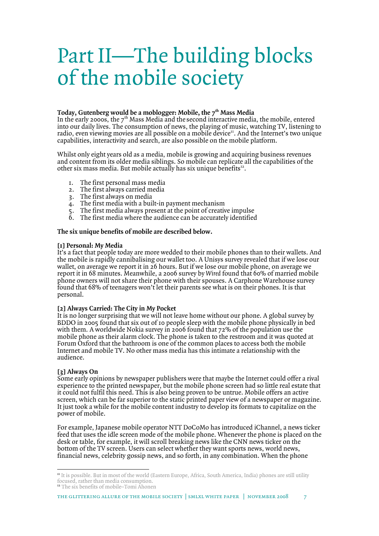# Part II—The building blocks of the mobile society

# **Today, Gutenberg would be a moblogger: Mobile, the 7th Mass Media**

In the early 2000s, the  $7<sup>th</sup>$  Mass Media and the second interactive media, the mobile, entered into our daily lives. The consumption of news, the playing of music, watching TV, listening to radio, even viewing movies are all possible on a mobile device $<sup>11</sup>$ . And the Internet's two unique</sup> capabilities, interactivity and search, are also possible on the mobile platform.

Whilst only eight years old as a media, mobile is growing and acquiring business revenues and content from its older media siblings. So mobile can replicate all the capabilities of the other six mass media. But mobile actually has six unique benefits<sup>12</sup>.

- 1. The first personal mass media
- 2. The first always carried media
- 3. The first always on media
- 4. The first media with a built-in payment mechanism
- 5. The first media always present at the point of creative impulse
- 6. The first media where the audience can be accurately identified

# **The six unique benefits of mobile are described below.**

# **[1] Personal: My Media**

It's a fact that people today are more wedded to their mobile phones than to their wallets. And the mobile is rapidly cannibalising our wallet too. A Unisys survey revealed that if we lose our wallet, on average we report it in 26 hours. But if we lose our mobile phone, on average we report it in 68 minutes. Meanwhile, a 2006 survey by *Wired* found that 60% of married mobile phone owners will not share their phone with their spouses. A Carphone Warehouse survey found that 68% of teenagers won't let their parents see what is on their phones. It is that personal.

# **[2] Always Carried: The City in My Pocket**

It is no longer surprising that we will not leave home without our phone. A global survey by BDDO in 2005 found that six out of 10 people sleep with the mobile phone physically in bed with them. A worldwide Nokia survey in 2006 found that 72% of the population use the mobile phone as their alarm clock. The phone is taken to the restroom and it was quoted at Forum Oxford that the bathroom is one of the common places to access both the mobile Internet and mobile TV. No other mass media has this intimate a relationship with the audience.

# **[3] Always On**

 $\overline{a}$ 

Some early opinions by newspaper publishers were that maybe the Internet could offer a rival experience to the printed newspaper, but the mobile phone screen had so little real estate that it could not fulfil this need. This is also being proven to be untrue. Mobile offers an active screen, which can be far superior to the static printed paper view of a newspaper or magazine. It just took a while for the mobile content industry to develop its formats to capitalize on the power of mobile.

For example, Japanese mobile operator NTT DoCoMo has introduced iChannel, a news ticker feed that uses the idle screen mode of the mobile phone. Whenever the phone is placed on the desk or table, for example, it will scroll breaking news like the CNN news ticker on the bottom of the TV screen. Users can select whether they want sports news, world news, financial news, celebrity gossip news, and so forth, in any combination. When the phone

<sup>&</sup>lt;sup>11</sup> It is possible. But in most of the world (Eastern Europe, Africa, South America, India) phones are still utility focused, rather than media consumption.

<sup>&</sup>lt;sup>12</sup> The six benefits of mobile–Tomi Ahonen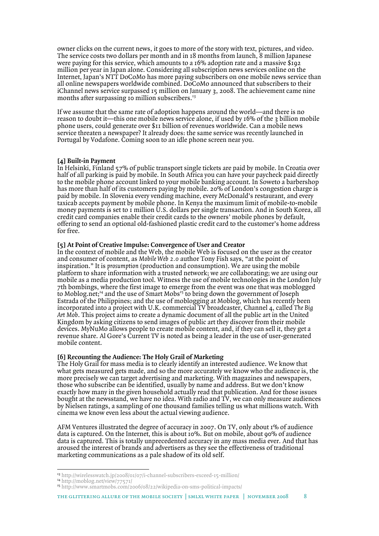owner clicks on the current news, it goes to more of the story with text, pictures, and video. The service costs two dollars per month and in 18 months from launch, 8 million Japanese were paying for this service, which amounts to a  $16\%$  adoption rate and a massive  $\frac{102}{102}$ million per year in Japan alone. Considering all subscription news services online on the Internet, Japan's NTT DoCoMo has more paying subscribers on one mobile news service than all online newspapers worldwide combined. DoCoMo announced that subscribers to their iChannel news service surpassed 15 million on January 3, 2008. The achievement came nine months after surpassing 10 million subscribers.<sup>13</sup>

If we assume that the same rate of adoption happens around the world—and there is no reason to doubt it—this one mobile news service alone, if used by 16% of the 3 billion mobile phone users, could generate over \$11 billion of revenues worldwide. Can a mobile news service threaten a newspaper? It already does: the same service was recently launched in Portugal by Vodafone. Coming soon to an idle phone screen near you.

#### **[4] Built-in Payment**

In Helsinki, Finland 57% of public transport single tickets are paid by mobile. In Croatia over half of all parking is paid by mobile. In South Africa you can have your paycheck paid directly to the mobile phone account linked to your mobile banking account. In Soweto a barbershop has more than half of its customers paying by mobile. 20% of London's congestion charge is paid by mobile. In Slovenia every vending machine, every McDonald's restaurant, and every taxicab accepts payment by mobile phone. In Kenya the maximum limit of mobile-to-mobile money payments is set to 1 million U.S. dollars per single transaction. And in South Korea, all credit card companies enable their credit cards to the owners' mobile phones by default, offering to send an optional old-fashioned plastic credit card to the customer's home address for free.

#### **[5] At Point of Creative Impulse: Convergence of User and Creator**

In the context of mobile and the Web, the mobile Web is focused on the user as the creator and consumer of content, as *Mobile Web 2.0* author Tony Fish says, "at the point of inspiration." It is *prosumption* (production and consumption). We are using the mobile platform to share information with a trusted network; we are collaborating; we are using our mobile as a media production tool. Witness the use of mobile technologies in the London July 7th bombings, where the first image to emerge from the event was one that was moblogged to Moblog.net;<sup>14</sup> and the use of Smart Mobs<sup>15</sup> to bring down the government of Joseph Estrada of the Philippines; and the use of moblogging at Moblog, which has recently been incorporated into a project with U.K. commercial TV broadcaster, Channel 4, called *The Big Art Mob*. This project aims to create a dynamic document of all the public art in the United Kingdom by asking citizens to send images of public art they discover from their mobile devices. MyNuMo allows people to create mobile content, and, if they can sell it, they get a revenue share. Al Gore's Current TV is noted as being a leader in the use of user-generated mobile content.

#### **[6] Recounting the Audience: The Holy Grail of Marketing**

The Holy Grail for mass media is to clearly identify an interested audience. We know that what gets measured gets made, and so the more accurately we know who the audience is, the more precisely we can target advertising and marketing. With magazines and newspapers, those who subscribe can be identified, usually by name and address. But we don't know exactly how many in the given household actually read that publication. And for those issues bought at the newsstand, we have no idea. With radio and TV, we can only measure audiences by Nielsen ratings, a sampling of one thousand families telling us what millions watch. With cinema we know even less about the actual viewing audience.

AFM Ventures illustrated the degree of accuracy in 2007. On TV, only about 1% of audience data is captured. On the Internet, this is about 10%. But on mobile, about  $90\%$  of audience data is captured. This is totally unprecedented accuracy in any mass media ever. And that has aroused the interest of brands and advertisers as they see the effectiveness of traditional marketing communications as a pale shadow of its old self.

<sup>13</sup> http://wirelesswatch.jp/2008/01/07/i-channel-subscribers-exceed-15-million/

<sup>&</sup>lt;sup>14</sup> http://moblog.net/view/77571/

<sup>15</sup> http://www.smartmobs.com/2006/08/22/wikipedia-on-sms-political-impacts/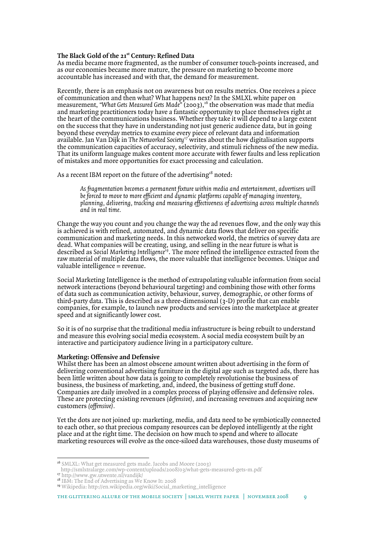# **The Black Gold of the 21st Century: Refined Data**

As media became more fragmented, as the number of consumer touch-points increased, and as our economies became more mature, the pressure on marketing to become more accountable has increased and with that, the demand for measurement.

Recently, there is an emphasis not on awareness but on results metrics. One receives a piece of communication and then what? What happens next? In the SMLXL white paper on measurement, *"What Gets Measured Gets Made"* (2003),<sup>16</sup> the observation was made that media and marketing practitioners today have a fantastic opportunity to place themselves right at the heart of the communications business. Whether they take it will depend to a large extent on the success that they have in understanding not just generic audience data, but in going beyond these everyday metrics to examine every piece of relevant data and information available. Jan Van Dijk in *The Networked Society<sup>17</sup>* writes about the how digitalisation supports the communication capacities of accuracy, selectivity, and stimuli richness of the new media. That its uniform language makes content more accurate with fewer faults and less replication of mistakes and more opportunities for exact processing and calculation.

As a recent IBM report on the future of the advertising<sup>18</sup> noted:

*As fragmentation becomes a permanent fixture within media and entertainment, advertisers will be forced to move to more efficient and dynamic platforms capable of managing inventory, planning, delivering, tracking and measuring effectiveness of advertising across multiple channels and in real time.* 

Change the way you count and you change the way the ad revenues flow, and the only way this is achieved is with refined, automated, and dynamic data flows that deliver on specific communication and marketing needs. In this networked world, the metrics of survey data are dead. What companies will be creating, using, and selling in the near future is what is described as *Social Marketing Intelligence<sup>19</sup>*. The more refined the intelligence extracted from the raw material of multiple data flows, the more valuable that intelligence becomes. Unique and valuable intelligence = revenue.

Social Marketing Intelligence is the method of extrapolating valuable information from social network interactions (beyond behavioural targeting) and combining those with other forms of data such as communication activity, behaviour, survey, demographic, or other forms of third-party data. This is described as a three-dimensional (3-D) profile that can enable companies, for example, to launch new products and services into the marketplace at greater speed and at significantly lower cost.

So it is of no surprise that the traditional media infrastructure is being rebuilt to understand and measure this evolving social media ecosystem. A social media ecosystem built by an interactive and participatory audience living in a participatory culture.

#### **Marketing: Offensive and Defensive**

Whilst there has been an almost obscene amount written about advertising in the form of delivering conventional advertising furniture in the digital age such as targeted ads, there has been little written about how data is going to completely revolutionise the business of business, the business of marketing, and, indeed, the business of getting stuff done. Companies are daily involved in a complex process of playing offensive and defensive roles. These are protecting existing revenues *(defensive),* and increasing revenues and acquiring new customers *(offensive).*

Yet the dots are not joined up: marketing, media, and data need to be symbiotically connected to each other, so that precious company resources can be deployed intelligently at the right place and at the right time. The decision on how much to spend and where to allocate marketing resources will evolve as the once-siloed data warehouses, those dusty museums of

 $\overline{a}$ 

the glittering allure of the mobile society | smlxl white paper | november 2008 9

<sup>&</sup>lt;sup>16</sup> SMLXL: What get measured gets made. Jacobs and Moore (2003)

http://smlxtralarge.com/wp-content/uploads/2008/03/what-gets-measured-gets-m.pdf

<sup>17</sup> http://www.gw.utwente.nl/vandijk/

<sup>&</sup>lt;sup>18</sup> IBM: The End of Advertising as We Know It: 2008

<sup>19</sup> Wikipedia: http://en.wikipedia.org/wiki/Social\_marketing\_intelligence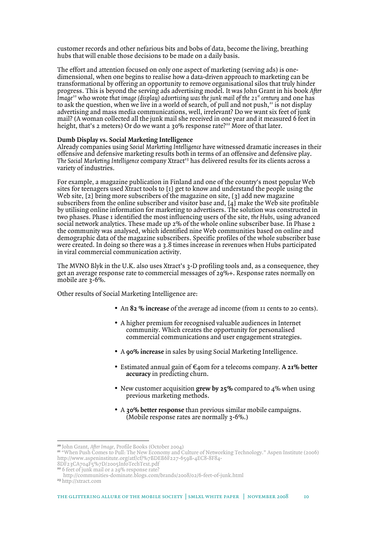customer records and other nefarious bits and bobs of data, become the living, breathing hubs that will enable those decisions to be made on a daily basis.

The effort and attention focused on only one aspect of marketing (serving ads) is onedimensional, when one begins to realise how a data-driven approach to marketing can be transformational by offering an opportunity to remove organisational silos that truly hinder progress. This is beyond the serving ads advertising model. It was John Grant in his book *After Image<sup>20</sup>* who wrote *that image (display) advertising was the junk mail of the 21st century* and one has to ask the question, when we live in a world of search, of pull and not push, $^{21}$  is not display advertising and mass media communications, well, irrelevant? Do we want six feet of junk mail? (A woman collected all the junk mail she received in one year and it measured 6 feet in height, that's 2 meters) Or do we want a 30% response rate?<sup>22</sup> More of that later.

#### **Dumb Display vs. Social Marketing Intelligence**

Already companies using *Social Marketing Intelligence* have witnessed dramatic increases in their offensive and defensive marketing results both in terms of an offensive and defensive play. The Social Marketing Intelligence company Xtract<sup>23</sup> has delivered results for its clients across a variety of industries.

For example, a magazine publication in Finland and one of the country's most popular Web sites for teenagers used Xtract tools to [1] get to know and understand the people using the Web site, [2] bring more subscribers of the magazine on site, [3] add new magazine subscribers from the online subscriber and visitor base and, [4] make the Web site profitable by utilising online information for marketing to advertisers. The solution was constructed in two phases. Phase 1 identified the most influencing users of the site, the Hubs, using advanced social network analytics. These made up 2% of the whole online subscriber base. In Phase 2 the community was analysed, which identified nine Web communities based on online and demographic data of the magazine subscribers. Specific profiles of the whole subscriber base were created. In doing so there was a 3.8 times increase in revenues when Hubs participated in viral commercial communication activity.

The MVNO Blyk in the U.K. also uses Xtract's 3-D profiling tools and, as a consequence, they get an average response rate to commercial messages of 29%+. Response rates normally on mobile are 3-6%.

Other results of Social Marketing Intelligence are:

- An **82 % increase** of the average ad income (from 11 cents to 20 cents).
- A higher premium for recognised valuable audiences in Internet community. Which creates the opportunity for personalised commercial communications and user engagement strategies.
- A **90% increase** in sales by using Social Marketing Intelligence.
- Estimated annual gain of €40m for a telecoms company. **A 21% better accuracy** in predicting churn.
- New customer acquisition **grew by 25%** compared to 4% when using previous marketing methods.
- A **30% better response** than previous similar mobile campaigns. (Mobile response rates are normally 3-6%.)

<sup>20</sup> John Grant, *After Image*, Profile Books (October 2004)

<sup>&</sup>lt;sup>21</sup> "When Push Comes to Pull: The New Economy and Culture of Networking Technology." Aspen Institute (2006) http://www.aspeninstitute.org/atf/cf/%7BDEB6F227-659B-4EC8-8F84-

<sup>8</sup>DF23CA704F5%7D/2005InfoTechText.pdf

<sup>&</sup>lt;sup>22</sup> 6 feet of junk mail or a 29% response rate?

http://communities-dominate.blogs.com/brands/2008/02/6-feet-of-junk.html

<sup>23</sup> http://xtract.com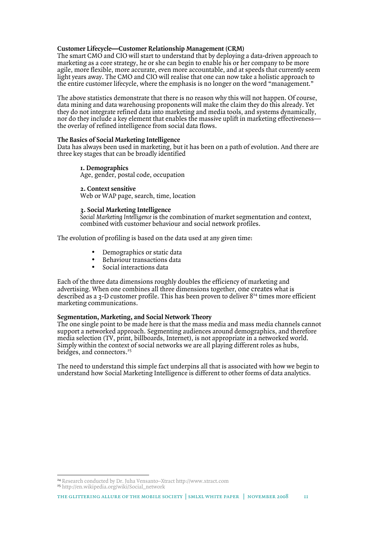# **Customer Lifecycle—Customer Relationship Management (CRM)**

The smart CMO and CIO will start to understand that by deploying a data-driven approach to marketing as a core strategy, he or she can begin to enable his or her company to be more agile, more flexible, more accurate, even more accountable, and at speeds that currently seem light years away. The CMO and CIO will realise that one can now take a holistic approach to the entire customer lifecycle, where the emphasis is no longer on the word "management."

The above statistics demonstrate that there is no reason why this will not happen. Of course, data mining and data warehousing proponents will make the claim they do this already. Yet they do not integrate refined data into marketing and media tools, and systems dynamically, nor do they include a key element that enables the massive uplift in marketing effectiveness the overlay of refined intelligence from social data flows.

# **The Basics of Social Marketing Intelligence**

Data has always been used in marketing, but it has been on a path of evolution. And there are three key stages that can be broadly identified

# **1. Demographics**

Age, gender, postal code, occupation

# **2. Context sensitive**

Web or WAP page, search, time, location

# **3. Social Marketing Intelligence**

*Social Marketing Intelligence* is the combination of market segmentation and context, combined with customer behaviour and social network profiles.

The evolution of profiling is based on the data used at any given time:

- Demographics or static data
- Behaviour transactions data
- Social interactions data

Each of the three data dimensions roughly doubles the efficiency of marketing and advertising. When one combines all three dimensions together, one creates what is described as a 3-D customer profile. This has been proven to deliver  $8<sup>24</sup>$  times more efficient marketing communications.

# **Segmentation, Marketing, and Social Network Theory**

The one single point to be made here is that the mass media and mass media channels cannot support a networked approach. Segmenting audiences around demographics, and therefore media selection (TV, print, billboards, Internet), is not appropriate in a networked world. Simply within the context of social networks we are all playing different roles as hubs, bridges, and connectors.<sup>25</sup>

The need to understand this simple fact underpins all that is associated with how we begin to understand how Social Marketing Intelligence is different to other forms of data analytics.

<sup>24</sup> Research conducted by Dr. Juha Vensanto–Xtract http://www.xtract.com

<sup>25</sup> http://en.wikipedia.org/wiki/Social\_network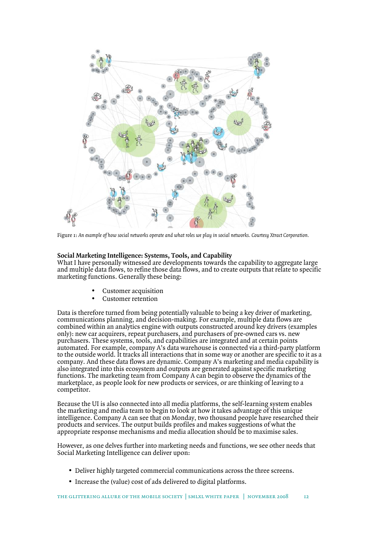

Figure 1: *An example of how social networks operate and what roles we play in social networks. Courtesy Xtract Corporation.*

# **Social Marketing Intelligence: Systems, Tools, and Capability**

What I have personally witnessed are developments towards the capability to aggregate large and multiple data flows, to refine those data flows, and to create outputs that relate to specific marketing functions. Generally these being:

- Customer acquisition
- Customer retention

Data is therefore turned from being potentially valuable to being a key driver of marketing, communications planning, and decision-making. For example, multiple data flows are combined within an analytics engine with outputs constructed around key drivers (examples only): new car acquirers, repeat purchasers, and purchasers of pre-owned cars vs. new purchasers. These systems, tools, and capabilities are integrated and at certain points automated. For example, company A's data warehouse is connected via a third-party platform to the outside world. It tracks all interactions that in some way or another are specific to it as a company. And these data flows are dynamic. Company A's marketing and media capability is also integrated into this ecosystem and outputs are generated against specific marketing functions. The marketing team from Company A can begin to observe the dynamics of the marketplace, as people look for new products or services, or are thinking of leaving to a competitor.

Because the UI is also connected into all media platforms, the self-learning system enables the marketing and media team to begin to look at how it takes advantage of this unique intelligence. Company A can see that on Monday, two thousand people have researched their products and services. The output builds profiles and makes suggestions of what the appropriate response mechanisms and media allocation should be to maximise sales.

However, as one delves further into marketing needs and functions, we see other needs that Social Marketing Intelligence can deliver upon:

- Deliver highly targeted commercial communications across the three screens.
- Increase the (value) cost of ads delivered to digital platforms.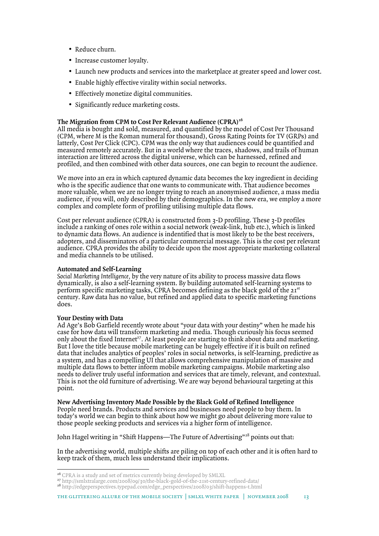- Reduce churn.
- Increase customer loyalty.
- Launch new products and services into the marketplace at greater speed and lower cost.
- Enable highly effective virality within social networks.
- Effectively monetize digital communities.
- Significantly reduce marketing costs.

# **The Migration from CPM to Cost Per Relevant Audience (CPRA)<sup>26</sup>**

All media is bought and sold, measured, and quantified by the model of Cost Per Thousand (CPM, where *M* is the Roman numeral for thousand), Gross Rating Points for TV (GRPs) and latterly, Cost Per Click (CPC). CPM was the only way that audiences could be quantified and measured remotely accurately. But in a world where the traces, shadows, and trails of human interaction are littered across the digital universe, which can be harnessed, refined and profiled, and then combined with other data sources, one can begin to recount the audience.

We move into an era in which captured dynamic data becomes the key ingredient in deciding who is the specific audience that one wants to communicate with. That audience becomes more valuable, when we are no longer trying to reach an anonymised audience, a mass media audience, if you will, only described by their demographics. In the new era, we employ a more complex and complete form of profiling utilising multiple data flows.

Cost per relevant audience (CPRA) is constructed from 3-D profiling. These 3-D profiles include a ranking of ones role within a social network (weak-link, hub etc.), which is linked to dynamic data flows. An audience is indentified that is most likely to be the best receivers, adopters, and disseminators of a particular commercial message. This is the cost per relevant audience. CPRA provides the ability to decide upon the most appropriate marketing collateral and media channels to be utilised.

# **Automated and Self-Learning**

*Social Marketing Intelligence,* by the very nature of its ability to process massive data flows dynamically, is also a self-learning system. By building automated self-learning systems to perform specific marketing tasks, CPRA becomes defining as the black gold of the  $2I<sup>st</sup>$ century. Raw data has no value, but refined and applied data to specific marketing functions does.

# **Your Destiny with Data**

 $\overline{a}$ 

Ad Age's Bob Garfield recently wrote about "your data with your destiny" when he made his case for how data will transform marketing and media. Though curiously his focus seemed only about the fixed Internet<sup>27</sup>. At least people are starting to think about data and marketing. But I love the title because mobile marketing can be hugely effective if it is built on refined data that includes analytics of peoples' roles in social networks, is self-learning, predictive as a system, and has a compelling UI that allows comprehensive manipulation of massive and multiple data flows to better inform mobile marketing campaigns. Mobile marketing also needs to deliver truly useful information and services that are timely, relevant, and contextual. This is not the old furniture of advertising. We are way beyond behavioural targeting at this point.

**New Advertising Inventory Made Possible by the Black Gold of Refined Intelligence**  People need brands. Products and services and businesses need people to buy them. In today's world we can begin to think about how we might go about delivering more value to those people seeking products and services via a higher form of intelligence.

John Hagel writing in "Shift Happens—The Future of Advertising"<sup>28</sup> points out that:

In the advertising world, multiple shifts are piling on top of each other and it is often hard to keep track of them, much less understand their implications.

the glittering allure of the mobile society | smlxl white paper | november 2008 13

<sup>26</sup> CPRA is a study and set of metrics currently being developed by SMLXL

<sup>27</sup> http://smlxtralarge.com/2008/09/30/the-black-gold-of-the-21st-century-refined-data/

<sup>28</sup> http://edgeperspectives.typepad.com/edge\_perspectives/2008/03/shift-happens-t.html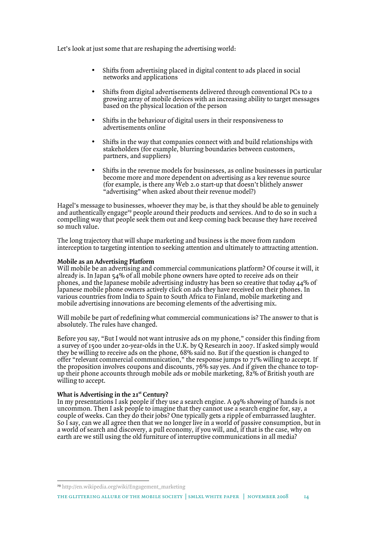Let's look at just some that are reshaping the advertising world:

- Shifts from advertising placed in digital content to ads placed in social networks and applications
- Shifts from digital advertisements delivered through conventional PCs to a growing array of mobile devices with an increasing ability to target messages based on the physical location of the person
- Shifts in the behaviour of digital users in their responsiveness to advertisements online
- Shifts in the way that companies connect with and build relationships with stakeholders (for example, blurring boundaries between customers, partners, and suppliers)
- Shifts in the revenue models for businesses, as online businesses in particular become more and more dependent on advertising as a key revenue source (for example, is there any Web 2.0 start-up that doesn't blithely answer "advertising" when asked about their revenue model?)

Hagel's message to businesses, whoever they may be, is that they should be able to genuinely and authentically engage<sup>29</sup> people around their products and services. And to do so in such a compelling way that people seek them out and keep coming back because they have received so much value.

The long trajectory that will shape marketing and business is the move from random interception to targeting intention to seeking attention and ultimately to attracting attention.

# **Mobile as an Advertising Platform**

Will mobile be an advertising and commercial communications platform? Of course it will, it already is. In Japan 54% of all mobile phone owners have opted to receive ads on their phones, and the Japanese mobile advertising industry has been so creative that today 44% of Japanese mobile phone owners actively click on ads they have received on their phones. In various countries from India to Spain to South Africa to Finland, mobile marketing and mobile advertising innovations are becoming elements of the advertising mix.

Will mobile be part of redefining what commercial communications is? The answer to that is absolutely. The rules have changed.

Before you say, "But I would not want intrusive ads on my phone," consider this finding from a survey of 1500 under 20-year-olds in the U.K. by Q Research in 2007. If asked simply would they be willing to receive ads on the phone, 68% said no. But if the question is changed to offer "relevant commercial communication," the response jumps to  $71\%$  willing to accept. If the proposition involves coupons and discounts,  $76\%$  say yes. And if given the chance to topup their phone accounts through mobile ads or mobile marketing, 82% of British youth are willing to accept.

### **What is Advertising in the 21st Century?**

In my presentations I ask people if they use a search engine. A 99% showing of hands is not uncommon. Then I ask people to imagine that they cannot use a search engine for, say, a couple of weeks. Can they do their jobs? One typically gets a ripple of embarrassed laughter. So I say, can we all agree then that we no longer live in a world of passive consumption, but in a world of search and discovery, a pull economy, if you will, and, if that is the case, why on earth are we still using the old furniture of interruptive communications in all media?

<sup>29</sup> http://en.wikipedia.org/wiki/Engagement\_marketing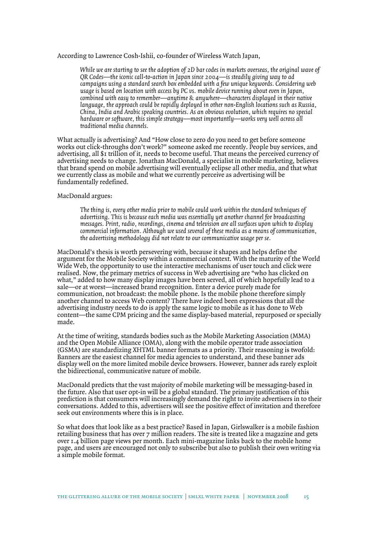According to Lawrence Cosh-Ishii, co-founder of Wireless Watch Japan,

*While we are starting to see the adoption of 2D bar codes in markets overseas, the original wave of QR Codes—the iconic call-to-action in Japan since 2004—is steadily giving way to ad campaigns using a standard search box embedded with a few unique keywords. Considering web usage is based on location with access by PC vs. mobile device running about even in Japan, combined with easy to remember—anytime & anywhere—characters displayed in their native language, the approach could be rapidly deployed in other non-English locations such as Russia, China, India and Arabic speaking countries. As an obvious evolution, which requires no special hardware or software, this simple strategy—most importantly—works very well across all traditional media channels.* 

What actually is advertising? And "How close to zero do you need to get before someone works out click-throughs don't work?" someone asked me recently. People buy services, and advertising, all \$1 trillion of it, needs to become useful. That means the perceived currency of advertising needs to change. Jonathan MacDonald, a specialist in mobile marketing, believes that brand spend on mobile advertising will eventually eclipse all other media, and that what we currently class as mobile and what we currently perceive as advertising will be fundamentally redefined.

#### MacDonald argues:

*The thing is, every other media prior to mobile could work within the standard techniques of advertising. This is because each media was essentially yet another channel for broadcasting messages. Print, radio, recordings, cinema and television are all surfaces upon which to display commercial information. Although we used several of these media as a means of communication, the advertising methodology did not relate to our communicative usage per se.* 

MacDonald's thesis is worth persevering with, because it shapes and helps define the argument for the Mobile Society within a commercial context. With the maturity of the World Wide Web, the opportunity to use the interactive mechanisms of user touch and click were realised. Now, the primary metrics of success in Web advertising are "who has clicked on what," added to how many display images have been served, all of which hopefully lead to a sale—or at worst—increased brand recognition. Enter a device purely made for communication, not broadcast: the mobile phone. Is the mobile phone therefore simply another channel to access Web content? There have indeed been expressions that all the advertising industry needs to do is apply the same logic to mobile as it has done to Web content—the same CPM pricing and the same display-based material, repurposed or specially made.

At the time of writing, standards bodies such as the Mobile Marketing Association (MMA) and the Open Mobile Alliance (OMA), along with the mobile operator trade association (GSMA) are standardizing XHTML banner formats as a priority. Their reasoning is twofold: Banners are the easiest channel for media agencies to understand, and these banner ads display well on the more limited mobile device browsers. However, banner ads rarely exploit the bidirectional, communicative nature of mobile.

MacDonald predicts that the vast majority of mobile marketing will be messaging-based in the future. Also that user opt-in will be a global standard. The primary justification of this prediction is that consumers will increasingly demand the right to invite advertisers in to their conversations. Added to this, advertisers will see the positive effect of invitation and therefore seek out environments where this is in place.

So what does that look like as a best practice? Based in Japan, Girlswalker is a mobile fashion retailing business that has over 7 million readers. The site is treated like a magazine and gets over 1.4 billion page views per month. Each mini-magazine links back to the mobile home page, and users are encouraged not only to subscribe but also to publish their own writing via a simple mobile format.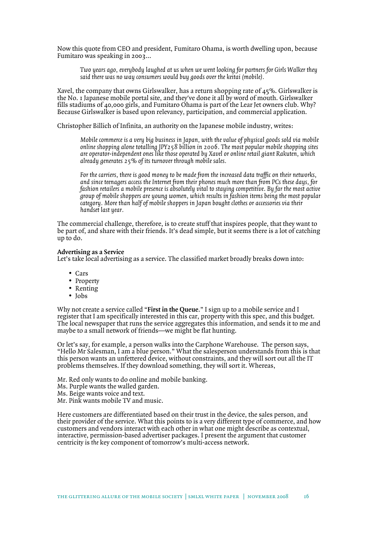Now this quote from CEO and president, Fumitaro Ohama, is worth dwelling upon, because Fumitaro was speaking in 2003…

*Two years ago, everybody laughed at us when we went looking for partners for Girls Walker they said there was no way consumers would buy goods over the keitai (mobile).* 

Xavel, the company that owns Girlswalker, has a return shopping rate of  $45\%$ . Girlswalker is the No. 1 Japanese mobile portal site, and they've done it all by word of mouth. Girlswalker fills stadiums of 40,000 girls, and Fumitaro Ohama is part of the Lear Jet owners club. Why? Because Girlswalker is based upon relevancy, participation, and commercial application.

Christopher Billich of Infinita, an authority on the Japanese mobile industry, writes:

*Mobile commerce is a very big business in Japan, with the value of physical goods sold via mobile online shopping alone totalling JPY258 billion in 2006. The most popular mobile shopping sites are operator-independent ones like those operated by Xavel or online retail giant Rakuten, which already generates 25% of its turnover through mobile sales.* 

*For the carriers, there is good money to be made from the increased data traffic on their networks, and since teenagers access the Internet from their phones much more than from PCs these days, for fashion retailers a mobile presence is absolutely vital to staying competitive. By far the most active group of mobile shoppers are young women, which results in fashion items being the most popular category. More than half of mobile shoppers in Japan bought clothes or accessories via their handset last year.* 

The commercial challenge, therefore, is to create stuff that inspires people, that they want to be part of, and share with their friends. It's dead simple, but it seems there is a lot of catching up to do.

#### **Advertising as a Service**

Let's take local advertising as a service. The classified market broadly breaks down into:

- Cars
- Property
- Renting
- Jobs

Why not create a service called "**First in the Queue**." I sign up to a mobile service and I register that I am specifically interested in this car, property with this spec, and this budget. The local newspaper that runs the service aggregates this information, and sends it to me and maybe to a small network of friends—we might be flat hunting.

Or let's say, for example, a person walks into the Carphone Warehouse. The person says, "Hello Mr Salesman, I am a blue person." What the salesperson understands from this is that this person wants an unfettered device, without constraints, and they will sort out all the IT problems themselves. If they download something, they will sort it. Whereas,

- Mr. Red only wants to do online and mobile banking.
- Ms. Purple wants the walled garden.
- Ms. Beige wants voice and text.
- Mr. Pink wants mobile TV and music.

Here customers are differentiated based on their trust in the device, the sales person, and their provider of the service. What this points to is a very different type of commerce, and how customers and vendors interact with each other in what one might describe as contextual, interactive, permission-based advertiser packages. I present the argument that customer centricity is *the* key component of tomorrow's multi-access network.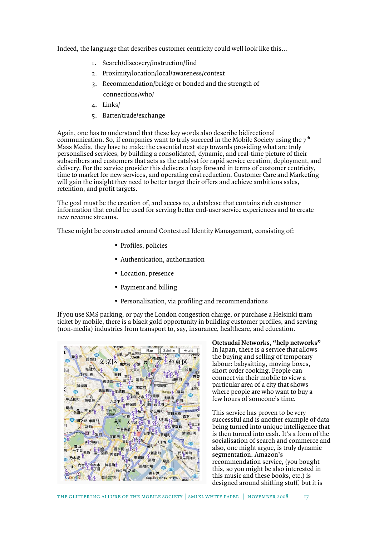Indeed, the language that describes customer centricity could well look like this…

- 1. Search/discovery/instruction/find
- 2. Proximity/location/local/awareness/context
- 3. Recommendation/bridge or bonded and the strength of connections/who/
- 4. Links/
- 5. Barter/trade/exchange

Again, one has to understand that these key words also describe bidirectional communication. So, if companies want to truly succeed in the Mobile Society using the  $7<sup>th</sup>$ Mass Media, they have to make the essential next step towards providing what are truly personalised services, by building a consolidated, dynamic, and real-time picture of their subscribers and customers that acts as the catalyst for rapid service creation, deployment, and delivery. For the service provider this delivers a leap forward in terms of customer centricity, time to market for new services, and operating cost reduction. Customer Care and Marketing will gain the insight they need to better target their offers and achieve ambitious sales, retention, and profit targets.

The goal must be the creation of, and access to, a database that contains rich customer information that could be used for serving better end-user service experiences and to create new revenue streams.

These might be constructed around Contextual Identity Management, consisting of:

- Profiles, policies
- Authentication, authorization
- Location, presence
- Payment and billing
- Personalization, via profiling and recommendations

If you use SMS parking, or pay the London congestion charge, or purchase a Helsinki tram ticket by mobile, there is a black gold opportunity in building customer profiles, and serving (non-media) industries from transport to, say, insurance, healthcare, and education.

Hybrid 白山 中日本医科 **BEN** ra, 車大前 坛落 闸 春日 江戸川橋 他御徒官 ü 末広町 飯田橋 水道橋 《御茶》 接盾 **津苔场** 生这柳町 ÷ 九段下 神保町  $+17$ **LUIRT** 市ヶ  $\clubsuit$ 小伝馬町 東日本橋 đ 春下 四ツ谷 半蔵門 形町、浜町 曳居 江田 静町 **个家王室前** 一击场前 2011年 清澄白河 桜田門  $ATE$ 赤豆見附  $\overline{1}$ 門控仲町 新宣明 **TeC Http** 日息 谷町市 地市坦 m 勝どき 老区役所 an data @2007 ZENRIN

**Otetsudai Networks, "help networks"**  In Japan, there is a service that allows the buying and selling of temporary labour: babysitting, moving boxes, short order cooking. People can connect via their mobile to view a particular area of a city that shows where people are who want to buy a few hours of someone's time.

This service has proven to be very successful and is another example of data being turned into unique intelligence that is then turned into cash. It's a form of the socialisation of search and commerce and also, one might argue, is truly dynamic segmentation. Amazon's recommendation service, (you bought this, so you might be also interested in this music and these books, etc.) is designed around shifting stuff, but it is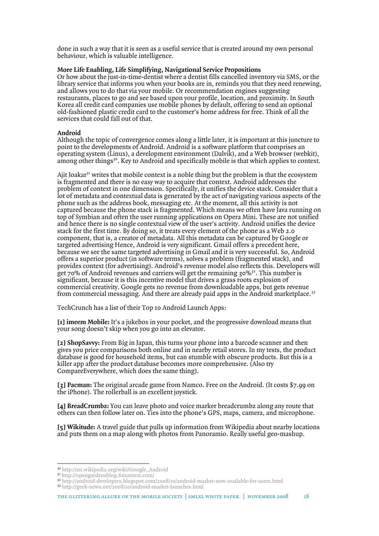done in such a way that it is seen as a useful service that is created around my own personal behaviour, which is valuable intelligence.

# **More Life Enabling, Life Simplifying, Navigational Service Propositions**

Or how about the just-in-time-dentist where a dentist fills cancelled inventory via SMS, or the library service that informs you when your books are in, reminds you that they need renewing, and allows you to do that via your mobile. Or recommendation engines suggesting restaurants, places to go and see based upon your profile, location, and proximity. In South Korea all credit card companies use mobile phones by default, offering to send an optional old-fashioned plastic credit card to the customer's home address for free. Think of all the services that could fall out of that.

# **Android**

Although the topic of convergence comes along a little later, it is important at this juncture to point to the developments of Android. Android is a software platform that comprises an operating system (Linux), a development environment (Dalvik), and a Web browser (webkit), among other things<sup>30</sup>. Key to Android and specifically mobile is that which applies to context.

Ajit Joakar<sup>31</sup> writes that mobile context is a noble thing but the problem is that the ecosystem is fragmented and there is no easy way to acquire that context. Android addresses the problem of context in one dimension. Specifically, it unifies the device stack. Consider that a lot of metadata and contextual data is generated by the act of navigating various aspects of the phone such as the address book, messaging etc. At the moment, all this activity is not captured because the phone stack is fragmented. Which means we often have Java running on top of Symbian and often the user running applications on Opera Mini. These are not unified and hence there is no single contextual view of the user's activity. Android unifies the device stack for the first time. By doing so, it treats every element of the phone as a Web 2.0 component, that is, a creator of metadata. All this metadata can be captured by Google or targeted advertising Hence, Android is very significant. Gmail offers a precedent here, because we see the same targeted advertising in Gmail and it is very successful. So, Android offers a superior product (in software terms), solves a problem (fragmented stack), and provides context (for advertising). Android's revenue model also reflects this. Developers will get 70% of Android revenues and carriers will get the remaining 30%<sup>32</sup>. This number is significant, because it is this incentive model that drives a grass roots explosion of commercial creativity. Google gets no revenue from downloadable apps, but gets revenue from commercial messaging. And there are already paid apps in the Android marketplace.<sup>33</sup>

TechCrunch has a list of their Top 10 Android Launch Apps:

**[1] imeem Mobile:** It's a jukebox in your pocket, and the progressive download means that your song doesn't skip when you go into an elevator.

**[2] ShopSavvy:** From Big in Japan, this turns your phone into a barcode scanner and then gives you price comparisons both online and in nearby retail stores. In my tests, the product database is good for household items, but can stumble with obscure products. But this is a killer app after the product database becomes more comprehensive. (Also try CompareEverywhere, which does the same thing).

**[3] Pacman:** The original arcade game from Namco. Free on the Android. (It costs \$7.99 on the iPhone). The rollerball is an excellent joystick.

**[4] BreadCrumbz:** You can leave photo and voice marker breadcrumbz along any route that others can then follow later on. Ties into the phone's GPS, maps, camera, and microphone.

**[5] Wikitude:** A travel guide that pulls up information from Wikipedia about nearby locations and puts them on a map along with photos from Panoramio. Really useful geo-mashup.

 $\overline{a}$ 

the glittering allure of the mobile society | smlxl white paper | november 2008 18

<sup>30</sup> http://en.wikipedia.org/wiki/Google\_Android

<sup>&</sup>lt;sup>31</sup> http://opengardensblog.futuretext.com/

<sup>32</sup> http://android-developers.blogspot.com/2008/10/android-market-now-available-for-users.html

<sup>33</sup> http://geek-news.net/2008/10/android-market-launches.html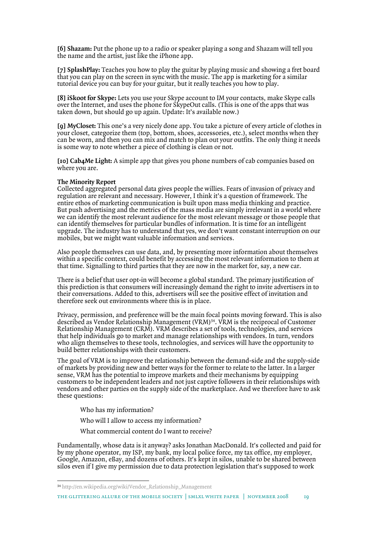**[6] Shazam:** Put the phone up to a radio or speaker playing a song and Shazam will tell you the name and the artist, just like the iPhone app.

**[7] SplashPlay:** Teaches you how to play the guitar by playing music and showing a fret board that you can play on the screen in sync with the music. The app is marketing for a similar tutorial device you can buy for your guitar, but it really teaches you how to play.

**[8] iSkoot for Skype:** Lets you use your Skype account to IM your contacts, make Skype calls over the Internet, and uses the phone for SkypeOut calls. (This is one of the apps that was taken down, but should go up again. Update: It's available now.)

**[9] MyCloset:** This one's a very nicely done app. You take a picture of every article of clothes in your closet, categorize them (top, bottom, shoes, accessories, etc.), select months when they can be worn, and then you can mix and match to plan out your outfits. The only thing it needs is some way to note whether a piece of clothing is clean or not.

**[10] Cab4Me Light:** A simple app that gives you phone numbers of cab companies based on where you are.

# **The Minority Report**

Collected aggregated personal data gives people the willies. Fears of invasion of privacy and regulation are relevant and necessary. However, I think it's a question of framework. The entire ethos of marketing communication is built upon mass media thinking and practice. But push advertising and the metrics of the mass media are simply irrelevant in a world where we can identify the most relevant audience for the most relevant message or those people that can identify themselves for particular bundles of information. It is time for an intelligent upgrade. The industry has to understand that yes, we don't want constant interruption on our mobiles, but we might want valuable information and services.

Also people themselves can use data, and, by presenting more information about themselves within a specific context, could benefit by accessing the most relevant information to them at that time. Signalling to third parties that they are now in the market for, say, a new car.

There is a belief that user opt-in will become a global standard. The primary justification of this prediction is that consumers will increasingly demand the right to invite advertisers in to their conversations. Added to this, advertisers will see the positive effect of invitation and therefore seek out environments where this is in place.

Privacy, permission, and preference will be the main focal points moving forward. This is also described as Vendor Relationship Management (VRM)<sup>34</sup>. VRM is the reciprocal of Customer Relationship Management (CRM). VRM describes a set of tools, technologies, and services that help individuals go to market and manage relationships with vendors. In turn, vendors who align themselves to these tools, technologies, and services will have the opportunity to build better relationships with their customers.

The goal of VRM is to improve the relationship between the demand-side and the supply-side of markets by providing new and better ways for the former to relate to the latter. In a larger sense, VRM has the potential to improve markets and their mechanisms by equipping customers to be independent leaders and not just captive followers in their relationships with vendors and other parties on the supply side of the marketplace. And we therefore have to ask these questions:

Who has my information?

 $\overline{a}$ 

- Who will I allow to access my information?
- What commercial content do I want to receive?

Fundamentally, whose data is it anyway? asks Jonathan MacDonald. It's collected and paid for by my phone operator, my ISP, my bank, my local police force, my tax office, my employer, Google, Amazon, eBay, and dozens of others. It's kept in silos, unable to be shared between silos even if I give my permission due to data protection legislation that's supposed to work

<sup>34</sup> http://en.wikipedia.org/wiki/Vendor\_Relationship\_Management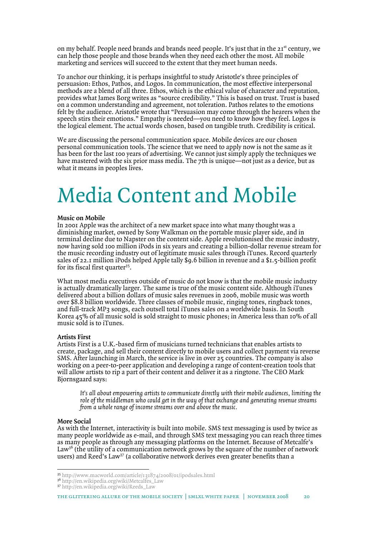on my behalf. People need brands and brands need people. It's just that in the 21<sup>st</sup> century, we can help those people and those brands when they need each other the most. All mobile marketing and services will succeed to the extent that they meet human needs.

To anchor our thinking, it is perhaps insightful to study Aristotle's three principles of persuasion: Ethos, Pathos, and Logos. In communication, the most effective interpersonal methods are a blend of all three. Ethos, which is the ethical value of character and reputation, provides what James Borg writes as "source credibility." This is based on trust. Trust is based on a common understanding and agreement, not toleration. Pathos relates to the emotions felt by the audience. Aristotle wrote that "Persuasion may come through the hearers when the speech stirs their emotions." Empathy is needed—you need to know how they feel. Logos is the logical element. The actual words chosen, based on tangible truth. Credibility is critical.

We are discussing the personal communication space. Mobile devices are our chosen personal communication tools. The science that we need to apply now is not the same as it has been for the last 100 years of advertising. We cannot just simply apply the techniques we have mastered with the six prior mass media. The 7th is unique—not just as a device, but as what it means in peoples lives.

# Media Content and Mobile

### **Music on Mobile**

In 2001 Apple was the architect of a new market space into what many thought was a diminishing market, owned by Sony Walkman on the portable music player side, and in terminal decline due to Napster on the content side. Apple revolutionised the music industry, now having sold 100 million iPods in six years and creating a billion-dollar revenue stream for the music recording industry out of legitimate music sales through iTunes. Record quarterly sales of 22.1 million iPods helped Apple tally \$9.6 billion in revenue and a \$1.5-billion profit for its fiscal first quarter<sup>35</sup>.

What most media executives outside of music do not know is that the mobile music industry is actually dramatically larger. The same is true of the music content side. Although iTunes delivered about a billion dollars of music sales revenues in 2006, mobile music was worth over \$8.8 billion worldwide. Three classes of mobile music, ringing tones, ringback tones, and full-track MP3 songs, each outsell total iTunes sales on a worldwide basis. In South Korea 45% of all music sold is sold straight to music phones; in America less than 10% of all music sold is to iTunes.

#### **Artists First**

Artists First is a U.K.-based firm of musicians turned technicians that enables artists to create, package, and sell their content directly to mobile users and collect payment via reverse SMS. After launching in March, the service is live in over 25 countries. The company is also working on a peer-to-peer application and developing a range of content-creation tools that will allow artists to rip a part of their content and deliver it as a ringtone. The CEO Mark Bjornsgaard says:

*It's all about empowering artists to communicate directly with their mobile audiences, limiting the role of the middleman who could get in the way of that exchange and generating revenue streams from a whole range of income streams over and above the music.* 

#### **More Social**

 $\overline{a}$ 

As with the Internet, interactivity is built into mobile. SMS text messaging is used by twice as many people worldwide as e-mail, and through SMS text messaging you can reach three times as many people as through any messaging platforms on the Internet. Because of Metcalfe's Law<sup>36</sup> (the utility of a communication network grows by the square of the number of network users) and Reed's Law<sup>37</sup> (a collaborative network derives even greater benefits than a

<sup>35</sup> http://www.macworld.com/article/131874/2008/01/ipodsales.html

<sup>36</sup> http://en.wikipedia.org/wiki/Metcalfes\_Law

<sup>37</sup> http://en.wikipedia.org/wiki/Reeds\_Law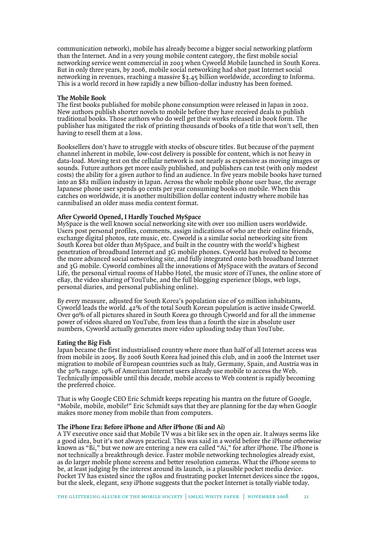communication network), mobile has already become a bigger social networking platform than the Internet. And in a very young mobile content category, the first mobile social networking service went commercial in 2003 when Cyworld Mobile launched in South Korea. But in only three years, by 2006, mobile social networking had shot past Internet social networking in revenues, reaching a massive \$3.45 billion worldwide, according to Informa. This is a world record in how rapidly a new billion-dollar industry has been formed.

### **The Mobile Book**

The first books published for mobile phone consumption were released in Japan in 2002. New authors publish shorter novels to mobile before they have received deals to publish traditional books. Those authors who do well get their works released in book form. The publisher has mitigated the risk of printing thousands of books of a title that won't sell, then having to resell them at a loss.

Booksellers don't have to struggle with stocks of obscure titles. But because of the payment channel inherent in mobile, low-cost delivery is possible for content, which is not heavy in data-load. Moving text on the cellular network is not nearly as expensive as moving images or sounds. Future authors get more easily published, and publishers can test (with only modest costs) the ability for a given author to find an audience. In five years mobile books have turned into an \$82 million industry in Japan. Across the whole mobile phone user base, the average Japanese phone user spends 90 cents per year consuming books on mobile. When this catches on worldwide, it is another multibillion dollar content industry where mobile has cannibalised an older mass media content format.

# **After Cyworld Opened, I Hardly Touched MySpace**

MySpace is the well known social networking site with over 100 million users worldwide. Users post personal profiles, comments, assign indications of who are their online friends, exchange digital photos, rate music, etc. Cyworld is a similar social networking site from South Korea but older than MySpace, and built in the country with the world's highest penetration of broadband Internet and 3G mobile phones. Cyworld has evolved to become the more advanced social networking site, and fully integrated onto both broadband Internet and 3G mobile. Cyworld combines all the innovations of MySpace with the avatars of Second Life, the personal virtual rooms of Habbo Hotel, the music store of iTunes, the online store of eBay, the video sharing of YouTube, and the full blogging experience (blogs, web logs, personal diaries, and personal publishing online).

By every measure, adjusted for South Korea's population size of 50 million inhabitants, Cyworld leads the world. 42% of the total South Korean population is active inside Cyworld. Over 90% of all pictures shared in South Korea go through Cyworld and for all the immense power of videos shared on YouTube, from less than a fourth the size in absolute user numbers, Cyworld actually generates more video uploading today than YouTube.

#### **Eating the Big Fish**

Japan became the first industrialised country where more than half of all Internet access was from mobile in 2005. By 2006 South Korea had joined this club, and in 2006 the Internet user migration to mobile of European countries such as Italy, Germany, Spain, and Austria was in the 30% range. 19% of American Internet users already use mobile to access the Web. Technically impossible until this decade, mobile access to Web content is rapidly becoming the preferred choice.

That is why Google CEO Eric Schmidt keeps repeating his mantra on the future of Google, "Mobile, mobile, mobile!" Eric Schmidt says that they are planning for the day when Google makes more money from mobile than from computers.

#### **The iPhone Era: Before iPhone and After iPhone (Bi and Ai)**

A TV executive once said that Mobile TV was a bit like sex in the open air. It always seems like a good idea, but it's not always practical. This was said in a world before the iPhone otherwise known as "Bi," but we now are entering a new era called "Ai," for after iPhone. The iPhone is not technically a breakthrough device. Faster mobile networking technologies already exist, as do larger mobile phone screens and better resolution cameras. What the iPhone seems to be, at least judging by the interest around its launch, is a plausible pocket media device. Pocket TV has existed since the 1980s and frustrating pocket Internet devices since the 1990s, but the sleek, elegant, sexy iPhone suggests that the pocket Internet is totally viable today.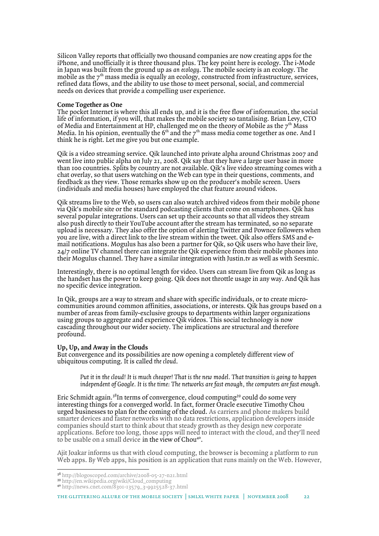Silicon Valley reports that officially two thousand companies are now creating apps for the iPhone, and unofficially it is three thousand plus. The key point here is ecology. The i-Mode in Japan was built from the ground up as *an ecology*. The mobile society is an ecology. The mobile as the  $7<sup>th</sup>$  mass media is equally an ecology, constructed from infrastructure, services, refined data flows, and the ability to use those to meet personal, social, and commercial needs on devices that provide a compelling user experience.

#### **Come Together as One**

The pocket Internet is where this all ends up, and it is the free flow of information, the social life of information, if you will, that makes the mobile society so tantalising. Brian Levy, CTO of Media and Entertainment at HP, challenged me on the theory of Mobile as the  $7<sup>th</sup>$  Mass Media. In his opinion, eventually the  $6<sup>th</sup>$  and the  $7<sup>th</sup>$  mass media come together as one. And I think he is right. Let me give you but one example.

Qik is a video streaming service. Qik launched into private alpha around Christmas 2007 and went live into public alpha on July 21, 2008. Qik say that they have a large user base in more than 100 countries. Splits by country are not available. Qik's live video streaming comes with a chat overlay, so that users watching on the Web can type in their questions, comments, and feedback as they view. Those remarks show up on the producer's mobile screen. Users (individuals and media houses) have employed the chat feature around videos.

Qik streams live to the Web, so users can also watch archived videos from their mobile phone via Qik's mobile site or the standard podcasting clients that come on smartphones. Qik has several popular integrations. Users can set up their accounts so that all videos they stream also push directly to their YouTube account after the stream has terminated, so no separate upload is necessary. They also offer the option of alerting Twitter and Pownce followers when you are live, with a direct link to the live stream within the tweet. Qik also offers SMS and email notifications. Mogulus has also been a partner for Qik, so Qik users who have their live, 24/7 online TV channel there can integrate the Qik experience from their mobile phones into their Mogulus channel. They have a similar integration with Justin.tv as well as with Seesmic.

Interestingly, there is no optimal length for video. Users can stream live from Qik as long as the handset has the power to keep going. Qik does not throttle usage in any way. And Qik has no specific device integration.

In Qik, groups are a way to stream and share with specific individuals, or to create microcommunities around common affinities, associations, or interests. Qik has groups based on a number of areas from family-exclusive groups to departments within larger organizations using groups to aggregate and experience Qik videos. This social technology is now cascading throughout our wider society. The implications are structural and therefore profound.

#### **Up, Up, and Away in the Clouds**

But convergence and its possibilities are now opening a completely different view of ubiquitous computing. It is called *the cloud*.

*Put it in the cloud! It is much cheaper! That is the new model. That transition is going to happen independent of Google. It is the time: The networks are fast enough, the computers are fast enough.* 

Eric Schmidt again.<sup>38</sup>In terms of convergence, cloud computing<sup>39</sup> could do some very interesting things for a converged world. In fact, former Oracle executive Timothy Chou urged businesses to plan for the coming of the cloud. As carriers and phone makers build smarter devices and faster networks with no data restrictions, application developers inside companies should start to think about that steady growth as they design new corporate applications. Before too long, those apps will need to interact with the cloud, and they'll need to be usable on a small device in the view of Chou<sup>40</sup>.

Ajit Joakar informs us that with cloud computing, the browser is becoming a platform to run Web apps. By Web apps, his position is an application that runs mainly on the Web. However,  $\overline{a}$ 

the glittering allure of the mobile society | smlxl white paper | november 2008 22

<sup>38</sup> http://blogoscoped.com/archive/2008-05-27-n21.html

<sup>39</sup> http://en.wikipedia.org/wiki/Cloud\_computing

<sup>40</sup> http://news.cnet.com/8301-13579\_3-9925528-37.html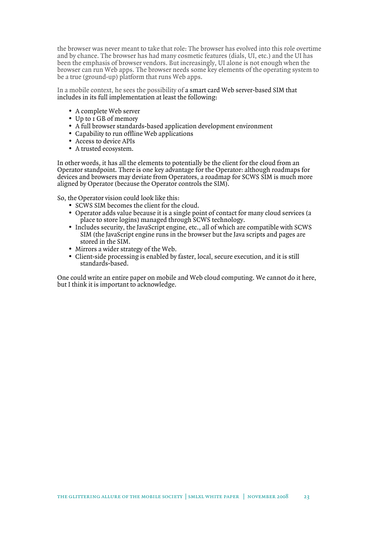the browser was never meant to take that role: The browser has evolved into this role overtime and by chance. The browser has had many cosmetic features (dials, UI, etc.) and the UI has been the emphasis of browser vendors. But increasingly, UI alone is not enough when the browser can run Web apps. The browser needs some key elements of the operating system to be a true (ground-up) platform that runs Web apps.

In a mobile context, he sees the possibility of a smart card Web server-based SIM that includes in its full implementation at least the following:

- A complete Web server
- Up to 1 GB of memory
- A full browser standards-based application development environment
- Capability to run offline Web applications
- Access to device APIs
- A trusted ecosystem.

In other words, it has all the elements to potentially be the client for the cloud from an Operator standpoint. There is one key advantage for the Operator: although roadmaps for devices and browsers may deviate from Operators, a roadmap for SCWS SIM is much more aligned by Operator (because the Operator controls the SIM).

So, the Operator vision could look like this:

- SCWS SIM becomes the client for the cloud.
- Operator adds value because it is a single point of contact for many cloud services (a place to store logins) managed through SCWS technology.
- Includes security, the JavaScript engine, etc., all of which are compatible with SCWS SIM (the JavaScript engine runs in the browser but the Java scripts and pages are stored in the SIM.
- Mirrors a wider strategy of the Web.
- Client-side processing is enabled by faster, local, secure execution, and it is still standards-based.

One could write an entire paper on mobile and Web cloud computing. We cannot do it here, but I think it is important to acknowledge.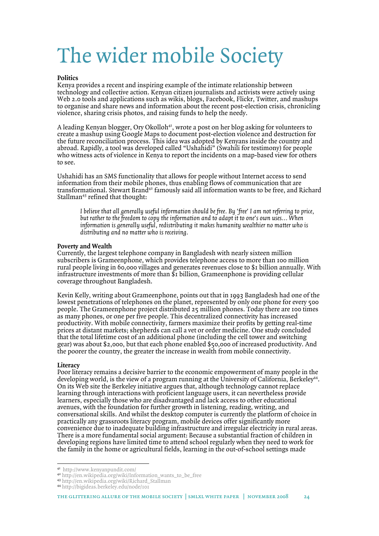# The wider mobile Society

# **Politics**

Kenya provides a recent and inspiring example of the intimate relationship between technology and collective action. Kenyan citizen journalists and activists were actively using Web 2.0 tools and applications such as wikis, blogs, Facebook, Flickr, Twitter, and mashups to organise and share news and information about the recent post-election crisis, chronicling violence, sharing crisis photos, and raising funds to help the needy.

A leading Kenyan blogger, Ory Okolloh<sup>41</sup>, wrote a post on her blog asking for volunteers to create a mashup using Google Maps to document post-election violence and destruction for the future reconciliation process. This idea was adopted by Kenyans inside the country and abroad. Rapidly, a tool was developed called "Ushahidi" (Swahili for testimony) for people who witness acts of violence in Kenya to report the incidents on a map-based view for others to see.

Ushahidi has an SMS functionality that allows for people without Internet access to send information from their mobile phones, thus enabling flows of communication that are transformational. Stewart Brand<sup>42</sup> famously said all information wants to be free, and Richard Stallman<sup>43</sup> refined that thought:

*I believe that all generally useful information should be free. By 'free' I am not referring to price, but rather to the freedom to copy the information and to adapt it to one's own uses... When information is generally useful, redistributing it makes humanity wealthier no matter who is distributing and no matter who is receiving.* 

# **Poverty and Wealth**

Currently, the largest telephone company in Bangladesh with nearly sixteen million subscribers is Grameenphone, which provides telephone access to more than 100 million rural people living in 60,000 villages and generates revenues close to \$1 billion annually. With infrastructure investments of more than \$1 billion, Grameenphone is providing cellular coverage throughout Bangladesh.

Kevin Kelly, writing about Grameenphone, points out that in 1993 Bangladesh had one of the lowest penetrations of telephones on the planet, represented by only one phone for every 500 people. The Grameenphone project distributed 25 million phones. Today there are 100 times as many phones, or one per five people. This decentralized connectivity has increased productivity. With mobile connectivity, farmers maximize their profits by getting real-time prices at distant markets; shepherds can call a vet or order medicine. One study concluded that the total lifetime cost of an additional phone (including the cell tower and switching gear) was about \$2,000, but that each phone enabled \$50,000 of increased productivity. And the poorer the country, the greater the increase in wealth from mobile connectivity.

# **Literacy**

 $\overline{a}$ 

Poor literacy remains a decisive barrier to the economic empowerment of many people in the developing world, is the view of a program running at the University of California, Berkeley<sup>44</sup>. On its Web site the Berkeley initiative argues that, although technology cannot replace learning through interactions with proficient language users, it can nevertheless provide learners, especially those who are disadvantaged and lack access to other educational avenues, with the foundation for further growth in listening, reading, writing, and conversational skills. And whilst the desktop computer is currently the platform of choice in practically any grassroots literacy program, mobile devices offer significantly more convenience due to inadequate building infrastructure and irregular electricity in rural areas. There is a more fundamental social argument: Because a substantial fraction of children in developing regions have limited time to attend school regularly when they need to work for the family in the home or agricultural fields, learning in the out-of-school settings made

<sup>41</sup> http://www.kenyanpundit.com/

<sup>42</sup> http://en.wikipedia.org/wiki/Information\_wants\_to\_be\_free

<sup>43</sup> http://en.wikipedia.org/wiki/Richard\_Stallman

<sup>44</sup> http://bigideas.berkeley.edu/node/101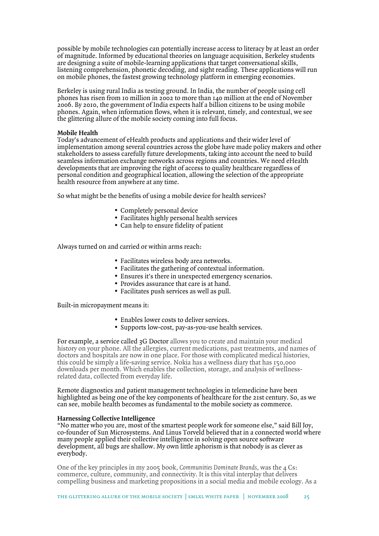possible by mobile technologies can potentially increase access to literacy by at least an order of magnitude. Informed by educational theories on language acquisition, Berkeley students are designing a suite of mobile-learning applications that target conversational skills, listening comprehension, phonetic decoding, and sight reading. These applications will run on mobile phones, the fastest growing technology platform in emerging economies.

Berkeley is using rural India as testing ground. In India, the number of people using cell phones has risen from 10 million in 2002 to more than 140 million at the end of November 2006. By 2010, the government of India expects half a billion citizens to be using mobile phones. Again, when information flows, when it is relevant, timely, and contextual, we see the glittering allure of the mobile society coming into full focus.

# **Mobile Health**

Today's advancement of eHealth products and applications and their wider level of implementation among several countries across the globe have made policy makers and other stakeholders to assess carefully future developments, taking into account the need to build seamless information exchange networks across regions and countries. We need eHealth developments that are improving the right of access to quality healthcare regardless of personal condition and geographical location, allowing the selection of the appropriate health resource from anywhere at any time.

So what might be the benefits of using a mobile device for health services?

- Completely personal device
- Facilitates highly personal health services
- Can help to ensure fidelity of patient

Always turned on and carried or within arms reach:

- Facilitates wireless body area networks.
- Facilitates the gathering of contextual information.
- Ensures it's there in unexpected emergency scenarios.
- Provides assurance that care is at hand.
- Facilitates push services as well as pull.

Built-in micropayment means it:

- Enables lower costs to deliver services.
- Supports low-cost, pay-as-you-use health services.

For example, a service called 3G Doctor allows you to create and maintain your medical history on your phone. All the allergies, current medications, past treatments, and names of doctors and hospitals are now in one place. For those with complicated medical histories, this could be simply a life-saving service. Nokia has a wellness diary that has 150,000 downloads per month. Which enables the collection, storage, and analysis of wellnessrelated data, collected from everyday life.

Remote diagnostics and patient management technologies in telemedicine have been highlighted as being one of the key components of healthcare for the 21st century. So, as we can see, mobile health becomes as fundamental to the mobile society as commerce.

# **Harnessing Collective Intelligence**

"No matter who you are, most of the smartest people work for someone else," said Bill Joy, co-founder of Sun Microsystems. And Linus Torveld believed that in a connected world where many people applied their collective intelligence in solving open source software development, all bugs are shallow. My own little aphorism is that nobody is as clever as everybody.

One of the key principles in my 2005 book, *Communities Dominate Brands*, was the 4 Cs: commerce, culture, community, and connectivity. It is this vital interplay that delivers compelling business and marketing propositions in a social media and mobile ecology. As a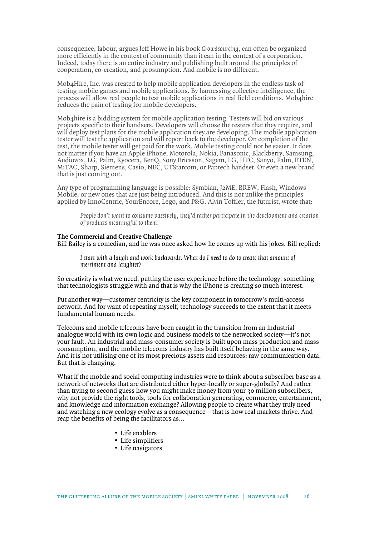consequence, labour, argues Jeff Howe in his book *Crowdsourcing*, can often be organized more efficiently in the context of community than it can in the context of a corporation. Indeed, today there is an entire industry and publishing built around the principles of cooperation, co-creation, and prosumption. And mobile is no different.

Mob4Hire, Inc. was created to help mobile application developers in the endless task of testing mobile games and mobile applications. By harnessing collective intelligence, the process will allow real people to test mobile applications in real field conditions. Mob4hire reduces the pain of testing for mobile developers.

Mob4hire is a bidding system for mobile application testing. Testers will bid on various projects specific to their handsets. Developers will choose the testers that they require, and will deploy test plans for the mobile application they are developing. The mobile application tester will test the application and will report back to the developer. On completion of the test, the mobile tester will get paid for the work. Mobile testing could not be easier. It does not matter if you have an Apple iPhone, Motorola, Nokia, Panasonic, Blackberry, Samsung, Audiovox, LG, Palm, Kyocera, BenQ, Sony Ericsson, Sagem, LG, HTC, Sanyo, Palm, ETEN, MiTAC, Sharp, Siemens, Casio, NEC, UTStarcom, or Pantech handset. Or even a new brand that is just coming out.

Any type of programming language is possible: Symbian, J2ME, BREW, Flash, Windows Mobile, or new ones that are just being introduced. And this is not unlike the principles applied by InnoCentric, YourEncore, Lego, and P&G. Alvin Toffler, the futurist, wrote that:

*People don't want to consume passively, they'd rather participate in the development and creation of products meaningful to them.*

# **The Commercial and Creative Challenge**

Bill Bailey is a comedian, and he was once asked how he comes up with his jokes. Bill replied:

*I start with a laugh and work backwards. What do I need to do to create that amount of merriment and laughter?* 

So creativity is what we need, putting the user experience before the technology, something that technologists struggle with and that is why the iPhone is creating so much interest.

Put another way—customer centricity is the key component in tomorrow's multi-access network. And for want of repeating myself, technology succeeds to the extent that it meets fundamental human needs.

Telecoms and mobile telecoms have been caught in the transition from an industrial analogue world with its own logic and business models to the networked society—it's not your fault. An industrial and mass-consumer society is built upon mass production and mass consumption, and the mobile telecoms industry has built itself behaving in the same way. And it is not utilising one of its most precious assets and resources: raw communication data. But that is changing.

What if the mobile and social computing industries were to think about a subscriber base as a network of networks that are distributed either hyper-locally or super-globally? And rather than trying to second guess how you might make money from your 30 million subscribers, why not provide the right tools, tools for collaboration generating, commerce, entertainment, and knowledge and information exchange? Allowing people to create what they truly need and watching a new ecology evolve as a consequence—that is how real markets thrive. And reap the benefits of being the facilitators as…

- Life enablers
- Life simplifiers
- Life navigators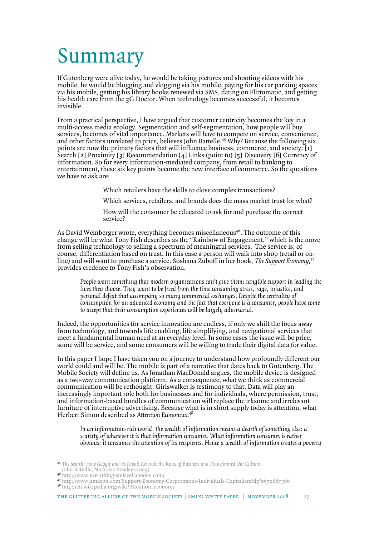# Summary

If Gutenberg were alive today, he would be taking pictures and shooting videos with his mobile, he would be blogging and vlogging via his mobile, paying for his car parking spaces via his mobile, getting his library books renewed via SMS, dating on Flirtomatic, and getting his health care from the 3G Doctor. When technology becomes successful, it becomes invisible.

From a practical perspective, I have argued that customer centricity becomes the key in a multi-access media ecology. Segmentation and self-segmentation, how people will buy services, becomes of vital importance. Markets will have to compete on service, convenience, and other factors unrelated to price, believes John Battelle.<sup>45</sup> Why? Because the following six points are now the primary factors that will influence business, commerce, and society: [1] Search [2] Proximity [3] Recommendation [4] Links (point to) [5] Discovery [6] Currency of information. So for every information-mediated company, from retail to banking to entertainment, these six key points become the new interface of commerce. So the questions we have to ask are:

Which retailers have the skills to close complex transactions?

Which services, retailers, and brands does the mass market trust for what?

How will the consumer be educated to ask for and purchase the correct service?

As David Weinberger wrote, everything becomes miscellaneous<sup>46</sup>. The outcome of this change will be what Tony Fish describes as the "Rainbow of Engagement," which is the move from selling technology to selling a spectrum of meaningful services. The service is, of course, differentiation based on trust. In this case a person will walk into shop (retail or online) and will want to purchase a service. Soshana Zuboff in her book, *The Support Economy, 47* provides credence to Tony Fish's observation.

*People want something that modern organisations can't give them: tangible support in leading the lives they choose. They want to be freed from the time consuming stress, rage, injustice, and personal defeat that accompany so many commercial exchanges. Despite the centrality of consumption for an advanced economy and the fact that everyone is a consumer, people have come to accept that their consumption experiences will be largely adversarial.* 

Indeed, the opportunities for service innovation are endless, if only we shift the focus away from technology, and towards life enabling, life simplifying, and navigational services that meet a fundamental human need at an everyday level. In some cases the issue will be price, some will be service, and some consumers will be willing to trade their digital data for value.

In this paper I hope I have taken you on a journey to understand how profoundly different our world could and will be. The mobile is part of a narrative that dates back to Gutenberg. The Mobile Society will define us. As Jonathan MacDonald argues, the mobile device is designed as a two-way communication platform. As a consequence, what we think as commercial communication will be rethought. Girlswalker is testimony to that. Data will play an increasingly important role both for businesses and for individuals, where permission, trust, and information-based bundles of communication will replace the irksome and irrelevant furniture of interruptive advertising. Because what is in short supply today is attention, what Herbert Simon described as *Attention Economics*: 48

*In an information-rich world, the wealth of information means a dearth of something else: a scarcity of whatever it is that information consumes. What information consumes is rather obvious: it consumes the attention of its recipients. Hence a wealth of information creates a poverty* 

<sup>45</sup> *The Search: How Google and its Rivals Rewrote the Rules of Business and Transformed Our Culture.* John Battelle, Nicholas Brealey (2005)

<sup>46</sup> http://www.everythingismiscellaneous.com/

<sup>47</sup> http://www.amazon.com/Support-Economy-Corporations-Individuals-Capitalism/dp/0670887366

<sup>48</sup> http://en.wikipedia.org/wiki/Attention\_economy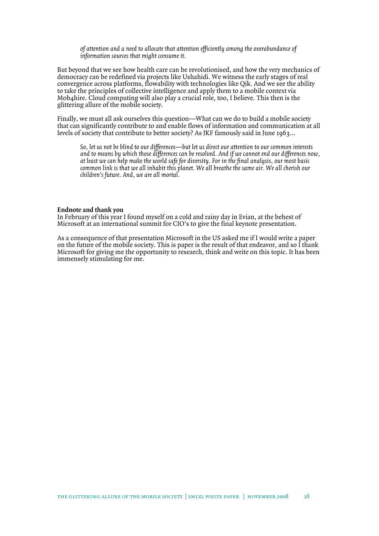*of attention and a need to allocate that attention efficiently among the overabundance of information sources that might consume it.* 

But beyond that we see how health care can be revolutionised, and how the very mechanics of democracy can be redefined via projects like Ushahidi. We witness the early stages of real convergence across platforms, flowability with technologies like Qik. And we see the ability to take the principles of collective intelligence and apply them to a mobile context via Mob4hire. Cloud computing will also play a crucial role, too, I believe. This then is the glittering allure of the mobile society.

Finally, we must all ask ourselves this question—What can we do to build a mobile society that can significantly contribute to and enable flows of information and communication at all levels of society that contribute to better society? As JKF famously said in June 1963…

*So, let us not be blind to our differences—but let us direct our attention to our common interests and to means by which those differences can be resolved. And if we cannot end our differences now, at least we can help make the world safe for diversity. For in the final analysis, our most basic common link is that we all inhabit this planet. We all breathe the same air. We all cherish our children's future. And, we are all mortal.* 

# **Endnote and thank you**

In February of this year I found myself on a cold and rainy day in Evian, at the behest of Microsoft at an international summit for CIO's to give the final keynote presentation.

As a consequence of that presentation Microsoft in the US asked me if I would write a paper on the future of the mobile society. This is paper is the result of that endeavor, and so  $\overline{I}$  thank Microsoft for giving me the opportunity to research, think and write on this topic. It has been immensely stimulating for me.